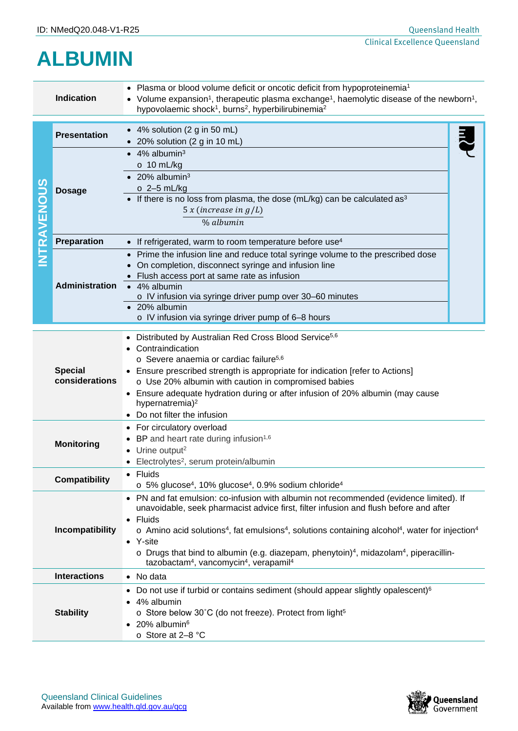## **ALBUMIN**

| <b>Indication</b>                |                                                                                                                                                                                                                                                      | • Plasma or blood volume deficit or oncotic deficit from hypoproteinemia <sup>1</sup><br>• Volume expansion <sup>1</sup> , therapeutic plasma exchange <sup>1</sup> , haemolytic disease of the newborn <sup>1</sup> ,<br>hypovolaemic shock <sup>1</sup> , burns <sup>2</sup> , hyperbilirubinemia <sup>2</sup>                                                                                                                                                                                                                                                    |  |  |
|----------------------------------|------------------------------------------------------------------------------------------------------------------------------------------------------------------------------------------------------------------------------------------------------|---------------------------------------------------------------------------------------------------------------------------------------------------------------------------------------------------------------------------------------------------------------------------------------------------------------------------------------------------------------------------------------------------------------------------------------------------------------------------------------------------------------------------------------------------------------------|--|--|
| NTRAVENOUS                       | <b>Presentation</b>                                                                                                                                                                                                                                  | $\bullet$ 4% solution (2 g in 50 mL)<br>$\bullet$ 20% solution (2 g in 10 mL)                                                                                                                                                                                                                                                                                                                                                                                                                                                                                       |  |  |
|                                  | <b>Dosage</b>                                                                                                                                                                                                                                        | $\bullet$ 4% albumin <sup>3</sup><br>$\circ$ 10 mL/kg<br>$\bullet$ 20% albumin <sup>3</sup><br>$\circ$ 2-5 mL/kg<br>• If there is no loss from plasma, the dose (mL/kg) can be calculated as <sup>3</sup><br>$5 x$ (increase in $g/L$ )<br>% albumin                                                                                                                                                                                                                                                                                                                |  |  |
|                                  | Preparation                                                                                                                                                                                                                                          | • If refrigerated, warm to room temperature before use <sup>4</sup>                                                                                                                                                                                                                                                                                                                                                                                                                                                                                                 |  |  |
|                                  | <b>Administration</b>                                                                                                                                                                                                                                | Prime the infusion line and reduce total syringe volume to the prescribed dose<br>On completion, disconnect syringe and infusion line<br>Flush access port at same rate as infusion<br>• 4% albumin<br>o IV infusion via syringe driver pump over 30-60 minutes<br>• 20% albumin<br>o IV infusion via syringe driver pump of 6-8 hours                                                                                                                                                                                                                              |  |  |
| <b>Special</b><br>considerations |                                                                                                                                                                                                                                                      | Distributed by Australian Red Cross Blood Service <sup>5,6</sup><br>Contraindication<br>o Severe anaemia or cardiac failure <sup>5,6</sup><br>• Ensure prescribed strength is appropriate for indication [refer to Actions]<br>o Use 20% albumin with caution in compromised babies<br>• Ensure adequate hydration during or after infusion of 20% albumin (may cause<br>hypernatremia) <sup>2</sup><br>Do not filter the infusion                                                                                                                                  |  |  |
| <b>Monitoring</b>                |                                                                                                                                                                                                                                                      | • For circulatory overload<br>BP and heart rate during infusion <sup>1,6</sup><br>Urine output <sup>2</sup><br>• Electrolytes <sup>2</sup> , serum protein/albumin                                                                                                                                                                                                                                                                                                                                                                                                  |  |  |
| <b>Compatibility</b>             |                                                                                                                                                                                                                                                      | • Fluids<br>$\circ$ 5% glucose <sup>4</sup> , 10% glucose <sup>4</sup> , 0.9% sodium chloride <sup>4</sup>                                                                                                                                                                                                                                                                                                                                                                                                                                                          |  |  |
| Incompatibility                  |                                                                                                                                                                                                                                                      | • PN and fat emulsion: co-infusion with albumin not recommended (evidence limited). If<br>unavoidable, seek pharmacist advice first, filter infusion and flush before and after<br>Fluids<br>$\circ$ Amino acid solutions <sup>4</sup> , fat emulsions <sup>4</sup> , solutions containing alcohol <sup>4</sup> , water for injection <sup>4</sup><br>• Y-site<br>$\circ$ Drugs that bind to albumin (e.g. diazepam, phenytoin) <sup>4</sup> , midazolam <sup>4</sup> , piperacillin-<br>tazobactam <sup>4</sup> , vancomycin <sup>4</sup> , verapamil <sup>4</sup> |  |  |
|                                  | <b>Interactions</b>                                                                                                                                                                                                                                  | • No data                                                                                                                                                                                                                                                                                                                                                                                                                                                                                                                                                           |  |  |
|                                  | Do not use if turbid or contains sediment (should appear slightly opalescent) <sup>6</sup><br>4% albumin<br><b>Stability</b><br>o Store below 30°C (do not freeze). Protect from light <sup>5</sup><br>20% albumin <sup>6</sup><br>o Store at 2-8 °C |                                                                                                                                                                                                                                                                                                                                                                                                                                                                                                                                                                     |  |  |